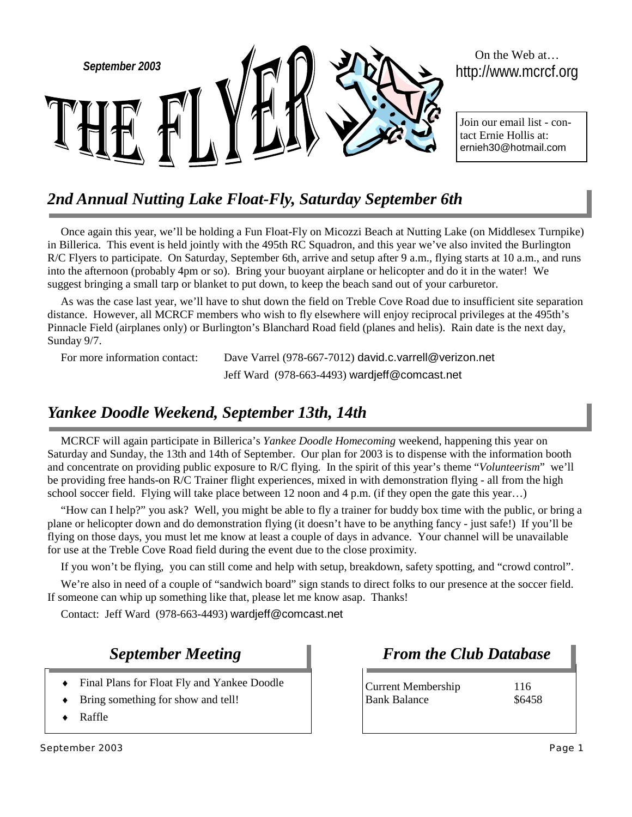

# *2nd Annual Nutting Lake Float-Fly, Saturday September 6th*

Once again this year, we'll be holding a Fun Float-Fly on Micozzi Beach at Nutting Lake (on Middlesex Turnpike) in Billerica. This event is held jointly with the 495th RC Squadron, and this year we've also invited the Burlington R/C Flyers to participate. On Saturday, September 6th, arrive and setup after 9 a.m., flying starts at 10 a.m., and runs into the afternoon (probably 4pm or so). Bring your buoyant airplane or helicopter and do it in the water! We suggest bringing a small tarp or blanket to put down, to keep the beach sand out of your carburetor.

As was the case last year, we'll have to shut down the field on Treble Cove Road due to insufficient site separation distance. However, all MCRCF members who wish to fly elsewhere will enjoy reciprocal privileges at the 495th's Pinnacle Field (airplanes only) or Burlington's Blanchard Road field (planes and helis). Rain date is the next day, Sunday 9/7.

For more information contact: Dave Varrel (978-667-7012) david.c.varrell@verizon.net Jeff Ward (978-663-4493) wardjeff@comcast.net

# *Yankee Doodle Weekend, September 13th, 14th*

MCRCF will again participate in Billerica's *Yankee Doodle Homecoming* weekend, happening this year on Saturday and Sunday, the 13th and 14th of September. Our plan for 2003 is to dispense with the information booth and concentrate on providing public exposure to R/C flying. In the spirit of this year's theme "*Volunteerism*" we'll be providing free hands-on R/C Trainer flight experiences, mixed in with demonstration flying - all from the high school soccer field. Flying will take place between 12 noon and 4 p.m. (if they open the gate this year…)

"How can I help?" you ask? Well, you might be able to fly a trainer for buddy box time with the public, or bring a plane or helicopter down and do demonstration flying (it doesn't have to be anything fancy - just safe!) If you'll be flying on those days, you must let me know at least a couple of days in advance. Your channel will be unavailable for use at the Treble Cove Road field during the event due to the close proximity.

If you won't be flying, you can still come and help with setup, breakdown, safety spotting, and "crowd control".

We're also in need of a couple of "sandwich board" sign stands to direct folks to our presence at the soccer field. If someone can whip up something like that, please let me know asap. Thanks!

Contact: Jeff Ward (978-663-4493) wardjeff@comcast.net

## *September Meeting*

- Final Plans for Float Fly and Yankee Doodle
- Bring something for show and tell!
- Raffle

*From the Club Database*

Current Membership 116 Bank Balance \$6458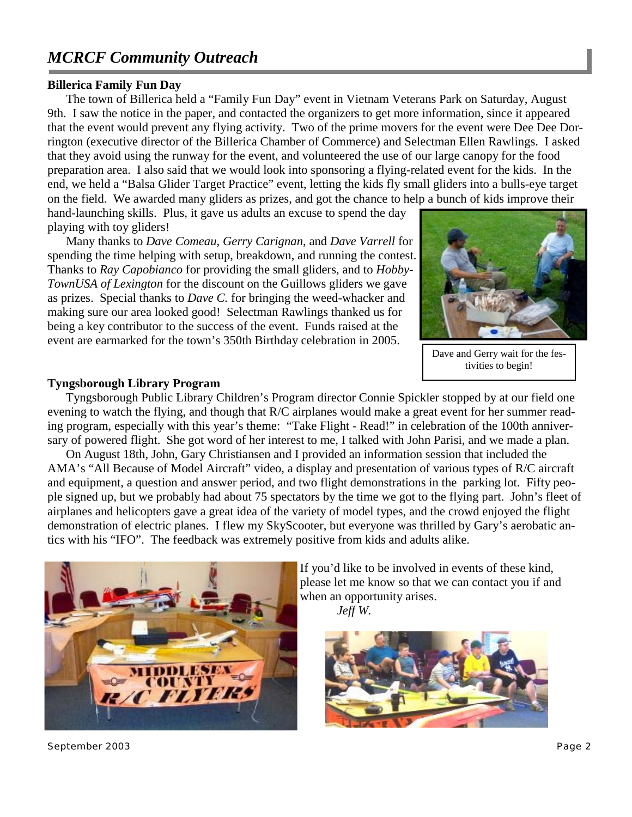# *MCRCF Community Outreach*

### **Billerica Family Fun Day**

The town of Billerica held a "Family Fun Day" event in Vietnam Veterans Park on Saturday, August 9th. I saw the notice in the paper, and contacted the organizers to get more information, since it appeared that the event would prevent any flying activity. Two of the prime movers for the event were Dee Dee Dorrington (executive director of the Billerica Chamber of Commerce) and Selectman Ellen Rawlings. I asked that they avoid using the runway for the event, and volunteered the use of our large canopy for the food preparation area. I also said that we would look into sponsoring a flying-related event for the kids. In the end, we held a "Balsa Glider Target Practice" event, letting the kids fly small gliders into a bulls-eye target on the field. We awarded many gliders as prizes, and got the chance to help a bunch of kids improve their

hand-launching skills. Plus, it gave us adults an excuse to spend the day playing with toy gliders!

Many thanks to *Dave Comeau*, *Gerry Carignan*, and *Dave Varrell* for spending the time helping with setup, breakdown, and running the contest. Thanks to *Ray Capobianco* for providing the small gliders, and to *Hobby-TownUSA of Lexington* for the discount on the Guillows gliders we gave as prizes. Special thanks to *Dave C.* for bringing the weed-whacker and making sure our area looked good! Selectman Rawlings thanked us for being a key contributor to the success of the event. Funds raised at the event are earmarked for the town's 350th Birthday celebration in 2005.



Dave and Gerry wait for the festivities to begin!

### **Tyngsborough Library Program**

Tyngsborough Public Library Children's Program director Connie Spickler stopped by at our field one evening to watch the flying, and though that R/C airplanes would make a great event for her summer reading program, especially with this year's theme: "Take Flight - Read!" in celebration of the 100th anniversary of powered flight. She got word of her interest to me, I talked with John Parisi, and we made a plan.

On August 18th, John, Gary Christiansen and I provided an information session that included the AMA's "All Because of Model Aircraft" video, a display and presentation of various types of R/C aircraft and equipment, a question and answer period, and two flight demonstrations in the parking lot. Fifty people signed up, but we probably had about 75 spectators by the time we got to the flying part. John's fleet of airplanes and helicopters gave a great idea of the variety of model types, and the crowd enjoyed the flight demonstration of electric planes. I flew my SkyScooter, but everyone was thrilled by Gary's aerobatic antics with his "IFO". The feedback was extremely positive from kids and adults alike.



If you'd like to be involved in events of these kind, please let me know so that we can contact you if and when an opportunity arises.

*Jeff W.* 



September 2003 Page 2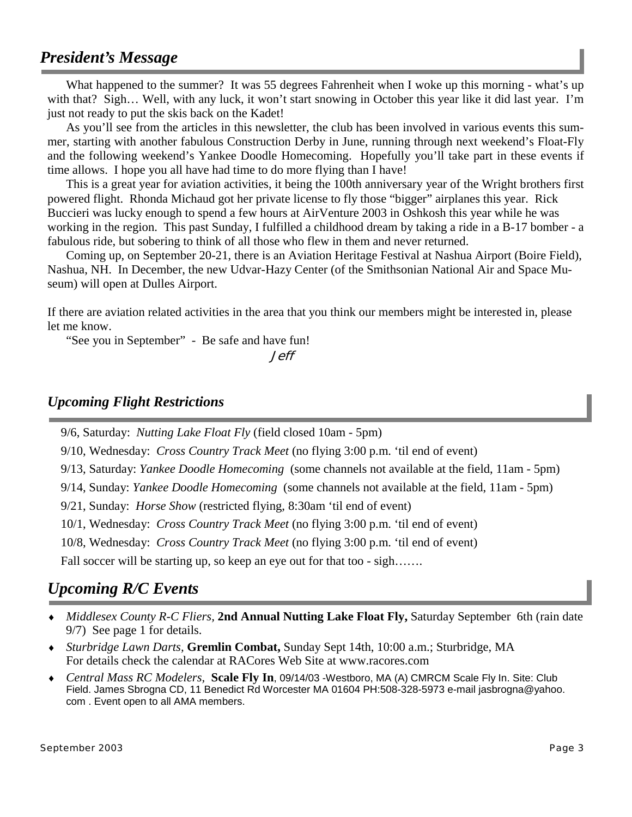## *President's Message*

What happened to the summer? It was 55 degrees Fahrenheit when I woke up this morning - what's up with that? Sigh... Well, with any luck, it won't start snowing in October this year like it did last year. I'm just not ready to put the skis back on the Kadet!

As you'll see from the articles in this newsletter, the club has been involved in various events this summer, starting with another fabulous Construction Derby in June, running through next weekend's Float-Fly and the following weekend's Yankee Doodle Homecoming. Hopefully you'll take part in these events if time allows. I hope you all have had time to do more flying than I have!

This is a great year for aviation activities, it being the 100th anniversary year of the Wright brothers first powered flight. Rhonda Michaud got her private license to fly those "bigger" airplanes this year. Rick Buccieri was lucky enough to spend a few hours at AirVenture 2003 in Oshkosh this year while he was working in the region. This past Sunday, I fulfilled a childhood dream by taking a ride in a B-17 bomber - a fabulous ride, but sobering to think of all those who flew in them and never returned.

Coming up, on September 20-21, there is an Aviation Heritage Festival at Nashua Airport (Boire Field), Nashua, NH. In December, the new Udvar-Hazy Center (of the Smithsonian National Air and Space Museum) will open at Dulles Airport.

If there are aviation related activities in the area that you think our members might be interested in, please let me know.

"See you in September" - Be safe and have fun!

*Jeff* 

### *Upcoming Flight Restrictions*

9/6, Saturday: *Nutting Lake Float Fly* (field closed 10am - 5pm)

9/10, Wednesday: *Cross Country Track Meet* (no flying 3:00 p.m. 'til end of event)

9/13, Saturday: *Yankee Doodle Homecoming* (some channels not available at the field, 11am - 5pm)

9/14, Sunday: *Yankee Doodle Homecoming* (some channels not available at the field, 11am - 5pm)

9/21, Sunday: *Horse Show* (restricted flying, 8:30am 'til end of event)

10/1, Wednesday: *Cross Country Track Meet* (no flying 3:00 p.m. 'til end of event)

10/8, Wednesday: *Cross Country Track Meet* (no flying 3:00 p.m. 'til end of event)

Fall soccer will be starting up, so keep an eye out for that too - sigh.......

## *Upcoming R/C Events*

- ♦ *Middlesex County R-C Fliers,* **2nd Annual Nutting Lake Float Fly,** Saturday September 6th (rain date 9/7) See page 1 for details.
- ♦ *Sturbridge Lawn Darts,* **Gremlin Combat,** Sunday Sept 14th, 10:00 a.m.; Sturbridge, MA For details check the calendar at RACores Web Site at www.racores.com
- ♦ *Central Mass RC Modelers,* **Scale Fly In**, 09/14/03 -Westboro, MA (A) CMRCM Scale Fly In. Site: Club Field. James Sbrogna CD, 11 Benedict Rd Worcester MA 01604 PH:508-328-5973 e-mail jasbrogna@yahoo. com . Event open to all AMA members.